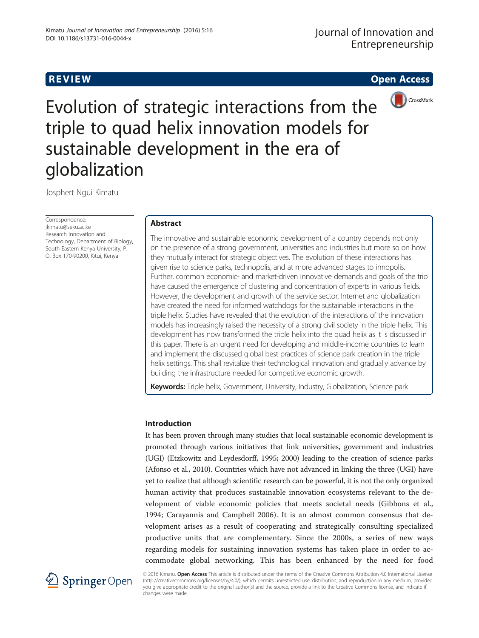# **REVIEW REVIEW CONSTRUCTER ACCESS**



Evolution of strategic interactions from the triple to quad helix innovation models for sustainable development in the era of globalization

Josphert Ngui Kimatu

Correspondence: [jkimatu@seku.ac.ke](mailto:jkimatu@seku.ac.ke) Research Innovation and Technology, Department of Biology, South Eastern Kenya University, P. O. Box 170-90200, Kitui, Kenya

# Abstract

The innovative and sustainable economic development of a country depends not only on the presence of a strong government, universities and industries but more so on how they mutually interact for strategic objectives. The evolution of these interactions has given rise to science parks, technopolis, and at more advanced stages to innopolis. Further, common economic- and market-driven innovative demands and goals of the trio have caused the emergence of clustering and concentration of experts in various fields. However, the development and growth of the service sector, Internet and globalization have created the need for informed watchdogs for the sustainable interactions in the triple helix. Studies have revealed that the evolution of the interactions of the innovation models has increasingly raised the necessity of a strong civil society in the triple helix. This development has now transformed the triple helix into the quad helix as it is discussed in this paper. There is an urgent need for developing and middle-income countries to learn and implement the discussed global best practices of science park creation in the triple helix settings. This shall revitalize their technological innovation and gradually advance by building the infrastructure needed for competitive economic growth.

Keywords: Triple helix, Government, University, Industry, Globalization, Science park

## Introduction

It has been proven through many studies that local sustainable economic development is promoted through various initiatives that link universities, government and industries (UGI) (Etzkowitz and Leydesdorff, [1995](#page-6-0); [2000](#page-6-0)) leading to the creation of science parks (Afonso et al., [2010\)](#page-6-0). Countries which have not advanced in linking the three (UGI) have yet to realize that although scientific research can be powerful, it is not the only organized human activity that produces sustainable innovation ecosystems relevant to the development of viable economic policies that meets societal needs (Gibbons et al., [1994;](#page-6-0) Carayannis and Campbell [2006](#page-6-0)). It is an almost common consensus that development arises as a result of cooperating and strategically consulting specialized productive units that are complementary. Since the 2000s, a series of new ways regarding models for sustaining innovation systems has taken place in order to accommodate global networking. This has been enhanced by the need for food



© 2016 Kimatu. Open Access This article is distributed under the terms of the Creative Commons Attribution 4.0 International License ([http://creativecommons.org/licenses/by/4.0/\)](http://creativecommons.org/licenses/by/4.0/), which permits unrestricted use, distribution, and reproduction in any medium, provided you give appropriate credit to the original author(s) and the source, provide a link to the Creative Commons license, and indicate if changes were made.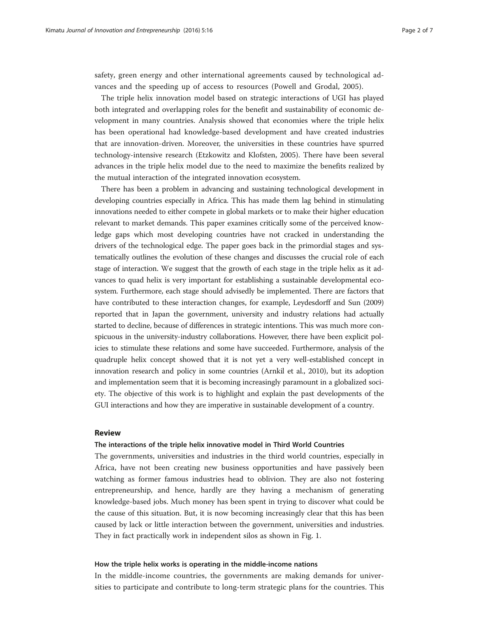safety, green energy and other international agreements caused by technological advances and the speeding up of access to resources (Powell and Grodal, [2005](#page-6-0)).

The triple helix innovation model based on strategic interactions of UGI has played both integrated and overlapping roles for the benefit and sustainability of economic development in many countries. Analysis showed that economies where the triple helix has been operational had knowledge-based development and have created industries that are innovation-driven. Moreover, the universities in these countries have spurred technology-intensive research (Etzkowitz and Klofsten, [2005\)](#page-6-0). There have been several advances in the triple helix model due to the need to maximize the benefits realized by the mutual interaction of the integrated innovation ecosystem.

There has been a problem in advancing and sustaining technological development in developing countries especially in Africa. This has made them lag behind in stimulating innovations needed to either compete in global markets or to make their higher education relevant to market demands. This paper examines critically some of the perceived knowledge gaps which most developing countries have not cracked in understanding the drivers of the technological edge. The paper goes back in the primordial stages and systematically outlines the evolution of these changes and discusses the crucial role of each stage of interaction. We suggest that the growth of each stage in the triple helix as it advances to quad helix is very important for establishing a sustainable developmental ecosystem. Furthermore, each stage should advisedly be implemented. There are factors that have contributed to these interaction changes, for example, Leydesdorff and Sun [\(2009](#page-6-0)) reported that in Japan the government, university and industry relations had actually started to decline, because of differences in strategic intentions. This was much more conspicuous in the university-industry collaborations. However, there have been explicit policies to stimulate these relations and some have succeeded. Furthermore, analysis of the quadruple helix concept showed that it is not yet a very well-established concept in innovation research and policy in some countries (Arnkil et al., [2010\)](#page-6-0), but its adoption and implementation seem that it is becoming increasingly paramount in a globalized society. The objective of this work is to highlight and explain the past developments of the GUI interactions and how they are imperative in sustainable development of a country.

#### Review

#### The interactions of the triple helix innovative model in Third World Countries

The governments, universities and industries in the third world countries, especially in Africa, have not been creating new business opportunities and have passively been watching as former famous industries head to oblivion. They are also not fostering entrepreneurship, and hence, hardly are they having a mechanism of generating knowledge-based jobs. Much money has been spent in trying to discover what could be the cause of this situation. But, it is now becoming increasingly clear that this has been caused by lack or little interaction between the government, universities and industries. They in fact practically work in independent silos as shown in Fig. [1](#page-2-0).

#### How the triple helix works is operating in the middle-income nations

In the middle-income countries, the governments are making demands for universities to participate and contribute to long-term strategic plans for the countries. This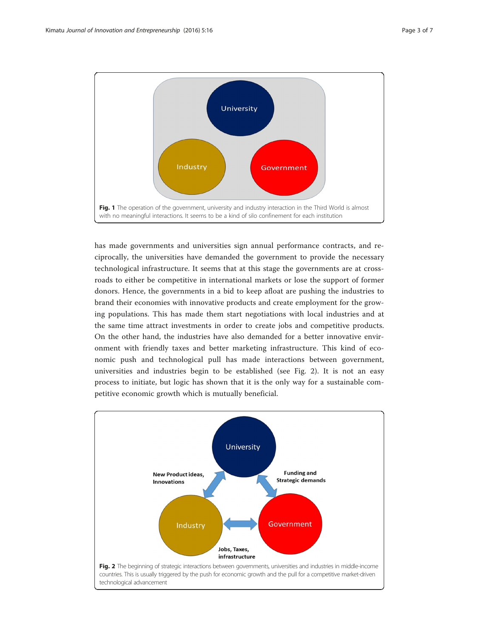<span id="page-2-0"></span>

has made governments and universities sign annual performance contracts, and reciprocally, the universities have demanded the government to provide the necessary technological infrastructure. It seems that at this stage the governments are at crossroads to either be competitive in international markets or lose the support of former donors. Hence, the governments in a bid to keep afloat are pushing the industries to brand their economies with innovative products and create employment for the growing populations. This has made them start negotiations with local industries and at the same time attract investments in order to create jobs and competitive products. On the other hand, the industries have also demanded for a better innovative environment with friendly taxes and better marketing infrastructure. This kind of economic push and technological pull has made interactions between government, universities and industries begin to be established (see Fig. 2). It is not an easy process to initiate, but logic has shown that it is the only way for a sustainable competitive economic growth which is mutually beneficial.

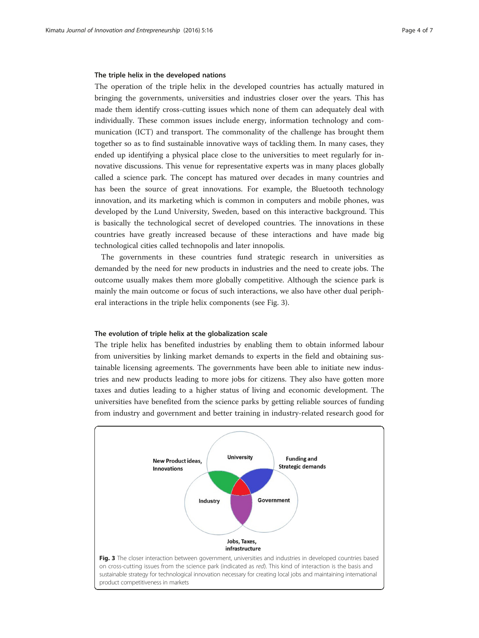#### The triple helix in the developed nations

The operation of the triple helix in the developed countries has actually matured in bringing the governments, universities and industries closer over the years. This has made them identify cross-cutting issues which none of them can adequately deal with individually. These common issues include energy, information technology and communication (ICT) and transport. The commonality of the challenge has brought them together so as to find sustainable innovative ways of tackling them. In many cases, they ended up identifying a physical place close to the universities to meet regularly for innovative discussions. This venue for representative experts was in many places globally called a science park. The concept has matured over decades in many countries and has been the source of great innovations. For example, the Bluetooth technology innovation, and its marketing which is common in computers and mobile phones, was developed by the Lund University, Sweden, based on this interactive background. This is basically the technological secret of developed countries. The innovations in these countries have greatly increased because of these interactions and have made big technological cities called technopolis and later innopolis.

The governments in these countries fund strategic research in universities as demanded by the need for new products in industries and the need to create jobs. The outcome usually makes them more globally competitive. Although the science park is mainly the main outcome or focus of such interactions, we also have other dual peripheral interactions in the triple helix components (see Fig. 3).

#### The evolution of triple helix at the globalization scale

The triple helix has benefited industries by enabling them to obtain informed labour from universities by linking market demands to experts in the field and obtaining sustainable licensing agreements. The governments have been able to initiate new industries and new products leading to more jobs for citizens. They also have gotten more taxes and duties leading to a higher status of living and economic development. The universities have benefited from the science parks by getting reliable sources of funding from industry and government and better training in industry-related research good for

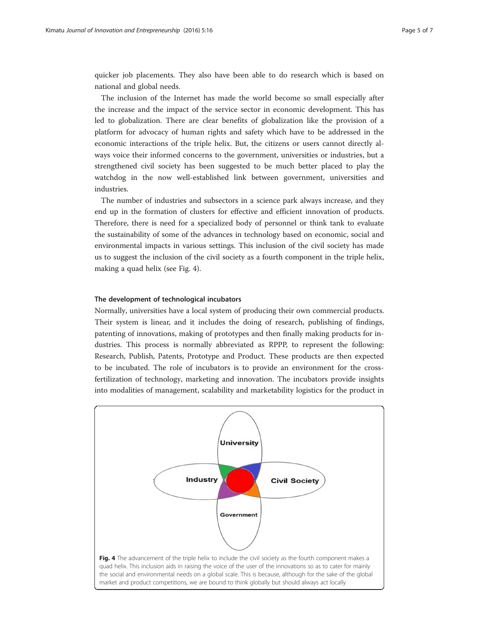quicker job placements. They also have been able to do research which is based on national and global needs.

The inclusion of the Internet has made the world become so small especially after the increase and the impact of the service sector in economic development. This has led to globalization. There are clear benefits of globalization like the provision of a platform for advocacy of human rights and safety which have to be addressed in the economic interactions of the triple helix. But, the citizens or users cannot directly always voice their informed concerns to the government, universities or industries, but a strengthened civil society has been suggested to be much better placed to play the watchdog in the now well-established link between government, universities and industries.

The number of industries and subsectors in a science park always increase, and they end up in the formation of clusters for effective and efficient innovation of products. Therefore, there is need for a specialized body of personnel or think tank to evaluate the sustainability of some of the advances in technology based on economic, social and environmental impacts in various settings. This inclusion of the civil society has made us to suggest the inclusion of the civil society as a fourth component in the triple helix, making a quad helix (see Fig. 4).

#### The development of technological incubators

Normally, universities have a local system of producing their own commercial products. Their system is linear, and it includes the doing of research, publishing of findings, patenting of innovations, making of prototypes and then finally making products for industries. This process is normally abbreviated as RPPP, to represent the following: Research, Publish, Patents, Prototype and Product. These products are then expected to be incubated. The role of incubators is to provide an environment for the crossfertilization of technology, marketing and innovation. The incubators provide insights into modalities of management, scalability and marketability logistics for the product in

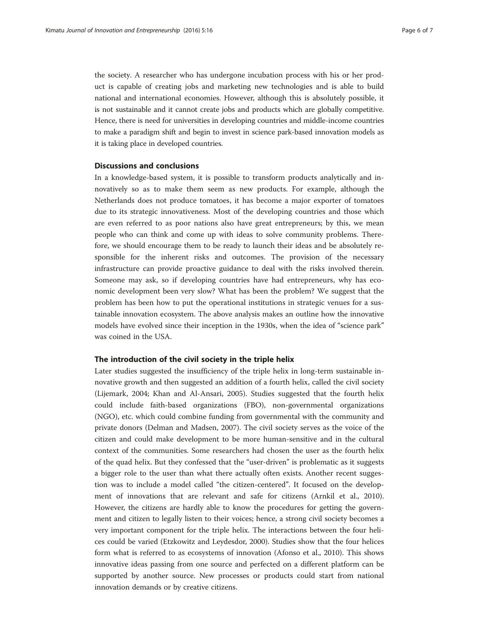the society. A researcher who has undergone incubation process with his or her product is capable of creating jobs and marketing new technologies and is able to build national and international economies. However, although this is absolutely possible, it is not sustainable and it cannot create jobs and products which are globally competitive. Hence, there is need for universities in developing countries and middle-income countries to make a paradigm shift and begin to invest in science park-based innovation models as it is taking place in developed countries.

## Discussions and conclusions

In a knowledge-based system, it is possible to transform products analytically and innovatively so as to make them seem as new products. For example, although the Netherlands does not produce tomatoes, it has become a major exporter of tomatoes due to its strategic innovativeness. Most of the developing countries and those which are even referred to as poor nations also have great entrepreneurs; by this, we mean people who can think and come up with ideas to solve community problems. Therefore, we should encourage them to be ready to launch their ideas and be absolutely responsible for the inherent risks and outcomes. The provision of the necessary infrastructure can provide proactive guidance to deal with the risks involved therein. Someone may ask, so if developing countries have had entrepreneurs, why has economic development been very slow? What has been the problem? We suggest that the problem has been how to put the operational institutions in strategic venues for a sustainable innovation ecosystem. The above analysis makes an outline how the innovative models have evolved since their inception in the 1930s, when the idea of "science park" was coined in the USA.

## The introduction of the civil society in the triple helix

Later studies suggested the insufficiency of the triple helix in long-term sustainable innovative growth and then suggested an addition of a fourth helix, called the civil society (Lijemark, [2004;](#page-6-0) Khan and Al-Ansari, [2005](#page-6-0)). Studies suggested that the fourth helix could include faith-based organizations (FBO), non-governmental organizations (NGO), etc. which could combine funding from governmental with the community and private donors (Delman and Madsen, [2007\)](#page-6-0). The civil society serves as the voice of the citizen and could make development to be more human-sensitive and in the cultural context of the communities. Some researchers had chosen the user as the fourth helix of the quad helix. But they confessed that the "user-driven" is problematic as it suggests a bigger role to the user than what there actually often exists. Another recent suggestion was to include a model called "the citizen-centered". It focused on the development of innovations that are relevant and safe for citizens (Arnkil et al., [2010](#page-6-0)). However, the citizens are hardly able to know the procedures for getting the government and citizen to legally listen to their voices; hence, a strong civil society becomes a very important component for the triple helix. The interactions between the four helices could be varied (Etzkowitz and Leydesdor, [2000\)](#page-6-0). Studies show that the four helices form what is referred to as ecosystems of innovation (Afonso et al., [2010](#page-6-0)). This shows innovative ideas passing from one source and perfected on a different platform can be supported by another source. New processes or products could start from national innovation demands or by creative citizens.